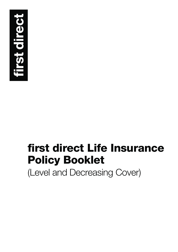

# **first direct Life Insurance Policy Booklet**

(Level and Decreasing Cover)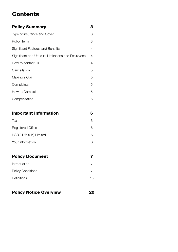# **Contents**

| <b>Policy Summary</b>                              | з              |
|----------------------------------------------------|----------------|
| Type of Insurance and Cover                        | 3              |
| Policy Term                                        | 3              |
| Significant Features and Benefits                  | 4              |
| Significant and Unusual Limitations and Exclusions | 4              |
| How to contact us                                  | 4              |
| Cancellation                                       | 5              |
| Making a Claim                                     | 5              |
| Complaints                                         | 5              |
| How to Complain                                    | 5              |
| Compensation                                       | 5              |
|                                                    |                |
| <b>Important Information</b>                       | 6              |
| Tax                                                | 6              |
| Registered Office                                  | 6              |
| HSBC Life (UK) Limited                             | 6              |
| Your Information                                   | 6              |
|                                                    |                |
| <b>Policy Document</b>                             | 7              |
| Introduction                                       | $\overline{7}$ |
| <b>Policy Conditions</b>                           | $\overline{7}$ |
| Definitions                                        | 13             |
|                                                    |                |

| <b>Policy Notice Overview</b> | 20 |
|-------------------------------|----|
|                               |    |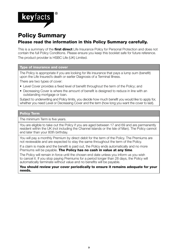

# **Policy Summary Please read the information in this Policy Summary carefully.**

This is a summary of the **first direct** Life Insurance Policy for Personal Protection and does not contain the full Policy Conditions. Please ensure you keep this booklet safe for future reference. The product provider is HSBC Life (UK) Limited.

#### **Type of insurance and cover**

The Policy is appropriate if you are looking for life insurance that pays a lump sum (benefit) upon the Life Insured's death or earlier Diagnosis of a Terminal Illness.

There are two types of cover:

- Level Cover provides a fixed level of benefit throughout the term of the Policy; and
- Decreasing Cover is where the amount of benefit is designed to reduce in line with an outstanding mortgage or loan.

Subject to underwriting and Policy limits, you decide how much benefit you would like to apply for, whether you need Level or Decreasing Cover and the term (how long you want the cover to last).

#### **Policy Term**

The minimum Term is five years.

You are eligible to take out the Policy if you are aged between 17 and 69 and are permanently resident within the UK (not including the Channel Islands or the Isle of Man). The Policy cannot end later than your 80th birthday.

You will pay a monthly Premium by direct debit for the term of the Policy. The Premiums are not reviewable and are expected to stay the same throughout the term of the Policy.

If a claim is made and the benefit is paid out, the Policy ends automatically and no more Premiums will be payable. **The Policy has no cash in value at any time**.

The Policy will remain in force until the chosen end date unless you inform us you wish to cancel it. If you stop paying Premiums for a period longer than 28 days, the Policy will automatically terminate without value and no benefits will be payable.

**You should review your cover periodically to ensure it remains adequate for your needs.**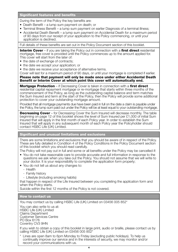#### **Significant features and benefits**

During the term of the Policy the key benefits are:

- Death Benefit a lump sum payment on death; or
- Terminal Illness Benefit a lump sum payment on earlier Diagnosis of a terminal illness;
- Accidental Death Benefit a lump sum payment on Accidental Death for a maximum period of 90 days from our receipt of your application to the Policy commencing, or until your application is declined.

Full details of these benefits are set out in the Policy Document section of this booklet.

**Interim Cover** – if you are taking the Policy out in connection with a **first direct** residential mortgage, free cover is provided until the Policy commences up to the amount applied for. This cover will start from the later of:

- the date of exchange of contracts:
- the date we accept your application; or
- the date we receive your acceptance of alternative terms.

Cover will last for a maximum period of 90 days, or until your mortgage is completed if earlier.

#### **Please note that payment will only be made once under either Accidental Death Benefit or Interim Cover at which point this cover will automatically end.**

**Mortgage Protection** – if Decreasing Cover is taken in connection with a first direct residential capital repayment mortgage or re-mortgage that starts within three months of the commencement of the Policy, as long as the outstanding capital balance and term matches the Sum Insured and term at the start of the Policy, then the Policy will provide some additional protection to cover your outstanding mortgage amount.

Provided that all mortgage payments due have been paid in full on the date a claim is payable under the Policy, the lump sum paid out under the Policy will be at least equal to your outstanding mortgage.

**Decreasing Cover** – for Decreasing Cover the Sum Insured will decrease monthly. The table beginning on page 12 of this booklet shows the level of Sum Insured per £1,000 of initial Sum Insured that will apply in the first month of each Policy year. In order to establish the Sum Insured that will apply in any subsequent month of each Policy year the Policyholder should contact HSBC Life (UK) Limited.

### **Significant and unusual limitations and exclusions**

There are some limitations and exclusions that you should be aware of in respect of the Policy. These are fully detailed in Condition 4 of the Policy Conditions in the Policy Document section of this booklet which you should read carefully.

The Policy will not pay out in full and some or all benefits under the Policy may be cancelled if:

- You do not take reasonable care to provide accurate and full information in response to the questions we ask when you take out the Policy. You should not assume that we will write to your doctor. It is your responsibility to complete the application form properly;
- You do not tell us about any changes to:
	- Health
	- Family history
	- Lifestyle (including smoking habits)

that happen in respect of the Life Insured between you completing the application form and when the Policy starts.

Suicide within the first 12 months of the Policy is not covered.

#### **How to contact us**

You may contact us by calling HSBC Life (UK) Limited on 03456 005 852\*

You can also write to us at: HSBC Life (UK) Limited Claims Department Customer Services Centre PO Box 6176 Coventry CV3 9HN

If you wish to obtain a copy of this booklet in large print, audio or braille, please contact us by calling HSBC Life (UK) Limited on 03456 005 852\*

\* Lines are open 8am to 6pm Monday to Friday (excluding public holidays). To help us continually improve our service and in the interests of security, we may monitor and/or record your communications with us.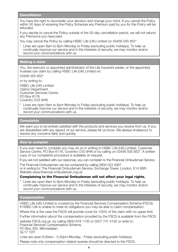#### **Cancellation**

You have the right to reconsider your decision and change your mind. If you cancel the Policy within 30 days of receiving the Policy Schedule any Premium paid by you for the Policy will be refunded.

If you decide to cancel the Policy outside of the 30-day cancellation period, we will not refund any Premiums you have paid.

You may cancel the Policy by calling HSBC Life (UK) Limited on 03456 005 852\*

\* Lines are open 8am to 6pm Monday to Friday (excluding public holidays). To help us continually improve our service and in the interests of security, we may monitor and/or record your communications with us.

#### **Making a claim**

You, the executor or appointed administrator of the Life Insured's estate, or the appointed trustees can claim by calling HSBC Life (UK) Limited on:

03456 005 852\*

or by writing to:

HSBC Life (UK) Limited Claims Department Customer Services Centre PO Box 6176 Coventry CV3 9HN

\* Lines are open 8am to 6pm Monday to Friday (excluding public holidays). To help us continually improve our service and in the interests of security, we may monitor and/or record your communications with us.

#### **Complaints**

We want you to be entirely satisfied with the products and services you receive from us. If you are dissatisfied with any aspect of our service, please let us know. We always endeavour to resolve any concerns fairly and quickly.

#### **How to complain**

If you ever need to complain you may do so in writing to HSBC Life (UK) Limited, Customer Service Centre, PO Box 6176, Coventry CV3 9HN or by calling on 03456 005 852\*. A written copy of our complaints procedure is available on request.

If you are not satisfied with our response, you can complain to the Financial Ombudsman Service.

The Financial Ombudsman can be contacted by calling 0800 023 4567 or in writing to: The Financial Ombudsman Service, Exchange Tower, London, E14 9SR. Website www.financial-ombudsman.org.uk

#### **Complaining to the Financial Ombudsman will not affect your legal rights.**

Lines are open 8am to 6pm Monday to Friday (excluding public holidays). To help us continually improve our service and in the interests of security, we may monitor and/or record your communications with us.

#### **Compensation**

HSBC Life (UK) Limited is covered by the Financial Services Compensation Scheme (FSCS). If HSBC Life is unable to meet its obligations you may be able to claim compensation.

Where this is the case the FSCS will provide cover for 100% of the claim with no upper limit.

Further information about the compensation provided by the FSCS is available from the FSCS

website FSCS.org.uk, by calling 0800 678 1100 or 0207 741 4100 or write to: Financial Services Compensation Scheme.

PO Box 300, Mitcheldean,

GL17 1DY

Lines are open 8:30am - 5:30pm Monday - Friday (excluding public holidays).

Please note only compensation related queries should be directed to the FSCS.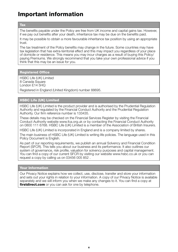# **Important information**

**Tax**

The benefits payable under the Policy are free from UK income and capital gains tax. However, if we pay out benefits after your death, inheritance tax may be due on the benefits paid.

It may be possible to obtain a more favourable inheritance tax position by using an appropriate trust.

The tax treatment of the Policy benefits may change in the future. Some countries may have tax legislation that has extra-territorial effect and this may impact you regardless of your place of domicile or residence. This means you may incur charges as a result of buying this Policy/ paying Premiums. We strongly recommend that you take your own professional advice if you think that this may be an issue for you.

**Registered Office**

HSBC Life (UK) Limited 8 Canada Square London E14 5HQ

Registered in England (United Kingdom) number 88695.

#### **HSBC Life (UK) Limited**

HSBC Life (UK) Limited is the product provider and is authorised by the Prudential Regulation Authority and regulated by the Financial Conduct Authority and the Prudential Regulation Authority. Our firm reference number is 133435.

These details may be checked on the Financial Services Register by visiting the Financial Conduct Authority website www.fca.org.uk or by contacting the Financial Conduct Authority on 0800 111 6768. HSBC Life (UK) Limited is a member of the Association of British Insurers.

HSBC Life (UK) Limited is incorporated in England and is a company limited by shares.

The main business of HSBC Life (UK) Limited is writing life policies. The language used in this Policy Document is English.

As part of our reporting requirements, we publish an annual Solvency and Financial Condition Report (SFCR). This tells you about our business and its performance. It also outlines our system of governance, risk profile, valuation for solvency purposes and capital management. You can find a copy of our current SFCR by visiting our website www.hsbc.co.uk or you can request a copy by calling us on 03456 005 852 .

#### **Your Information**

Our Privacy Notice explains how we collect, use, disclose, transfer and store your information and sets out your rights in relation to your information. A copy of our Privacy Notice is available separately and we will inform you when we make any changes to it. You can find a copy at **firstdirect.com** or you can ask for one by telephone.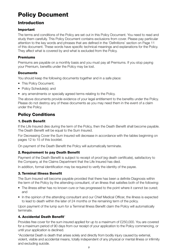# **Policy Document**

# **Introduction**

#### **Important**

The terms and conditions of the Policy are set out in this Policy Document. You need to read and study them carefully. This Policy Document contains exclusions from cover. Please pay particular attention to the key words and phrases that are defined in the 'Definitions' section on Page 11 of this document. These words have specific technical meanings and explanations for the Policy. They affect what is covered by and what is excluded from the Policy.

#### **Premiums**

Premiums are payable on a monthly basis and you must pay all Premiums. If you stop paying your Premium, benefits under the Policy may be lost.

#### **Documents**

You should keep the following documents together and in a safe place:

- This Policy Document:
- Policy Schedule(s); and
- any amendments or specially agreed terms relating to the Policy.

The above documents provide evidence of your legal entitlement to the benefits under the Policy. Please do not destroy any of these documents as you may need them in the event of a claim under the Policy.

# **Policy Conditions**

#### **1. Death Benefit**

If the Life Insured dies during the term of the Policy, then the Death Benefit shall become payable. The Death Benefit will be equal to the Sum Insured.

For Decreasing Cover the Sum Insured will decrease in accordance with the tables beginning on pages 12 to 15 of this booklet.

On payment of the Death Benefit the Policy will automatically terminate.

### **2. Requirement to pay Death Benefit**

Payment of the Death Benefit is subject to receipt of proof (eg death certificate), satisfactory to the Company, at the Claims Department that the Life Insured has died.

In addition, formal identification may be required to verify the identity of the payee.

### **3. Terminal Illness Benefit**

The Sum Insured will become payable provided that there has been a definite Diagnosis within the term of the Policy by the attending consultant, of an illness that satisfies both of the following:

- The illness either has no known cure or has progressed to the point where it cannot be cured: and
- In the opinion of the attending consultant and our Chief Medical Officer, the illness is expected to lead to death within the later of 24 months or the remaining term of the policy.

Upon payment of the lump sum for a Terminal Illness Benefit claim the Policy will automatically terminate.

### **4. Accidental Death Benefit**\*

Provides free cover for the sum insured applied for up to a maximum of £250,000. You are covered for a maximum period of 90 days from our receipt of your application to the Policy commencing, or until your application is declined.

\*Accidental Death is death that arises solely and directly from bodily injury caused by external, violent, visible and accidental means, totally independent of any physical or mental illness or infirmity and excluding suicide.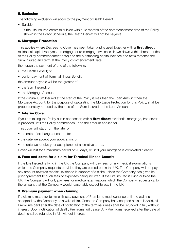#### **5. Exclusion**

The following exclusion will apply to the payment of Death Benefit.

• Suicide

 - If the Life Insured commits suicide within 12 months of the commencement date of the Policy shown in the Policy Schedule, the Death Benefit will not be payable.

#### **6. Mortgage Protection**

This applies where Decreasing Cover has been taken and is used together with a **first direct** residential capital repayment mortgage or re-mortgage (which is drawn down within three months of the Policy commencement date) and the outstanding capital balance and term matches the Sum Insured and term at the Policy commencement date:

then upon the payment of one of the following:

- the Death Benefit; or
- earlier payment of Terminal Illness Benefit

the amount payable will be the greater of:

- the Sum Insured; or
- the Mortgage Account.

If the original Sum Insured at the start of the Policy is less than the Loan Amount then the Mortgage Account, for the purpose of calculating the Mortgage Protection for this Policy, shall be proportionately reduced by the ratio of the Sum Insured to the Loan Amount.

#### **7. Interim Cover**

if you are taking the Policy out in connection with a **first direct** residential mortgage, free cover is provided until the Policy commences up to the amount applied for.

This cover will start from the later of:

- the date of exchange of contracts;
- the date we accept your application; or
- the date we receive your acceptance of alternative terms.

Cover will last for a maximum period of 90 days, or until your mortgage is completed if earlier.

#### **8. Fees and costs for a claim for Terminal Illness Benefit**

If the Life Insured is living in the UK the Company will pay fees for any medical examinations which the Company requests provided they are carried out in the UK. The Company will not pay any amount towards medical evidence in support of a claim unless the Company has given its prior agreement to such fees or expenses being incurred. If the Life Insured is living outside the UK, the Company will only pay fees for medical examinations which the Company requests up to the amount that the Company would reasonably expect to pay in the UK.

#### **9. Premium payment when claiming**

If a claim is made for terminal illness, payment of Premiums must continue until the claim is accepted by the Company as a valid claim. Once the Company has accepted a claim is valid, all Premiums paid after the date of notification of the terminal illness shall be refunded in full, without interest. Upon notification of death, Premiums will cease. Any Premiums received after the date of death shall be refunded in full, without interest.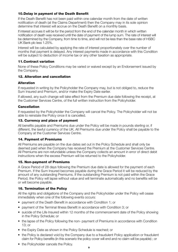#### **10. Delay in payment of the Death Benefit**

If the Death Benefit has not been paid within one calendar month from the date of written notification of death (at the Claims Department) then the Company may in its sole opinion determine that interest will accrue on the Death Benefit on a monthly basis.

If interest accrues it will be for the period from the end of the calendar month in which written notification of death was received until the date of payment of the lump sum. The rate of interest will be determined by the Company, from time to time, and will not be less than the base rate of HSBC UK Bank plc less 1.25%.

Interest will be calculated by applying the rate of interest proportionately over the number of months that payment is delayed. Any interest payments made in accordance with this Condition will be subject to deduction of income tax or any other taxation as appropriate.

#### **11. Contract variation**

None of these Policy Conditions may be varied or waived except by an Endorsement issued by the Company.

#### **12.Alteration and cancellation**

#### **Alteration**

If requested in writing by the Policyholder the Company may, but is not obliged to, reduce the Sum Insured and Premium, and/or make the Expiry Date earlier.

If allowed, any such change will take effect from the Premium due date following the receipt, at the Customer Services Centre, of the full written instruction from the Policyholder.

#### **Cancellation**

If requested by the Policyholder the Company will cancel the Policy. The Policyholder will not be able to reinstate the Policy once it is cancelled.

#### **13. Currency and place of payment**

All benefits payable and Premiums due under the Policy will be made in pounds sterling or, if different, the lawful currency of the UK. All Premiums due under the Policy shall be payable to the Company at the Customer Services Centre.

#### **14. Payment of Premiums**

All Premiums are payable on the due dates set out in the Policy Schedule and shall only be deemed paid when the Company has received the Premium at the Customer Services Centre. All Premiums are non-refundable unless the Company collects an amount in error of direct debit instructions when the excess Premium will be returned to the Policyholder.

#### **15. Non-payment of Premiums**

A Grace Period of 28 days following the Premium due date is allowed for the payment of each Premium. If the Sum Insured becomes payable during the Grace Period it will be reduced by the amount of any outstanding Premiums. If the outstanding Premium is not paid within the Grace Period, the Policy will lapse without value and will terminate automatically and no benefits will be or will become payable.

#### **16. Termination of the Policy**

All the rights and obligations of the Company and the Policyholder under the Policy will cease immediately when one of the following events occurs:

- payment of the Death Benefit in accordance with Condition 1; or
- payment of the Terminal Illness Benefit in accordance with Condition 3; or
- suicide of the Life Insured within 12 months of the commencement date of the Policy showing in the Policy Schedule; or
- the lapse of the Policy following the non- payment of Premiums in accordance with Condition 13; or
- the Expiry Date as shown in the Policy Schedule is reached; or
- the Policy is declared void by the Company due to a fraudulent Policy application or fraudulent claim for Policy benefits (in this scenario the policy cover will end and no claim will be payable) ; or
- the Policyholder cancels the Policy.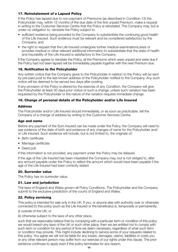#### **17. Reinstatement of a Lapsed Policy**

If the Policy has lapsed due to non-payment of Premiums (as described in Condition 13) the Policyholder may, within 12 months of the due date of the first unpaid Premium, make a request in writing to the Customer Services Centre that the Policy is reinstated. The Company may, but is under no obligation to, reinstate the Policy subject to:

- sufficient evidence being provided to the Company to substantiate the continuing good health of the Life Insured. Such evidence must be relevant and be considered satisfactory by the Company; and
- the right to request that the Life Insured undergoes further medical examinations, tests or provides medical or other relevant additional information to substantiate that the state of health and insurability of the Life Insured is satisfactory to the Company.

If the Company agrees to reinstate the Policy, all the Premiums which were unpaid and were due if the Policy had not been lapsed will be immediately payable together with the next Premium due.

#### **18. Notification to the Policyholder**

Any written notice that the Company gives to the Policyholder in relation to the Policy will be sent by pre-paid post to the last known address of the Policyholder notified to the Company. Any such notice will be deemed to be served two days after posting.

If any provision of the Policy is altered by the exercise of any Condition, the Company will give the Policyholder at least 30 days prior notice of such a change, unless such variation has been requested by the Policyholder or the nature of the variation requires immediate change.

#### **19. Change of personal details of the Policyholder and/or Life Insured**

#### **Address**

The Policyholder and/or Life Insured should immediately, or as soon as practicable, tell the Company of a change of address by writing to the Customer Services Centre.

#### **Age and name**

Before any payment of the Sum Insured can be made under the Policy, the Company will need to see evidence of the date of birth and evidence of any changes of name for the Policyholder and/ or Life Insured. Such evidence will include, but is not limited to, the originals of:

- Birth certificate
- Marriage certificate
- Deed poll.

If this information is not provided, any payment under the Policy may be delayed.

If the age of the Life Insured has been misstated the Company may, but is not obliged to, alter any amount payable under the Policy to reflect the amount which would have been payable if the age of the Life Insured had been correctly stated.

#### **20. Surrender value**

The Policy has no surrender value.

#### **21. Law and jurisdiction**

The laws of England and Wales govern all Policy Conditions. The Policyholder and the Company submit to the exclusive jurisdiction of the courts of England and Wales.

#### **22. Policy servicing**

This policy is intended for sale only in the UK. If you, or anyone else with authority over or otherwise connected to this policy (such as the Life Insured or the beneficiary) is, temporarily or permanently:

#### (i) outside of the UK; or

(ii) otherwise subject to the laws of any other place.

such that we reasonably believe that by complying with a particular term or condition of this policy we would breach any laws of the UK or such other place, then we are entitled not to comply with such term or condition for any period of time we deem necessary, regardless of what such term or condition may provide. This might include declining to service some of your requests related to this policy. You agree we will not be liable for any losses, damages, claims, liabilities or costs you or any other relevant person may suffer from our exercise of our rights under this clause. The prior sentence continues to apply even if this policy terminates for any reason.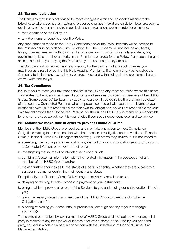#### **23. Tax and legislation**

The Company may, but is not obliged to, make changes in a fair and reasonable manner to the following, to take account of any actual or proposed changes in taxation, legislation, legal precedents, regulations, or the manner in which such legislation or regulations are interpreted or construed:

- the Conditions of the Policy; or
- any Premiums or benefits under the Policy.

Any such changes made to the Policy Conditions and/or the Policy benefits will be notified to the Policyholder in accordance with Condition 16. The Company will not include any taxes, levies, charges, fees and withholdings of any nature now or brought in at a later date by any government, fiscal or other authority in the Premiums charged for this Policy. If any such charges arise as a result of you paying the Premiums, you must ensure they are paid.

The Company will not accept any responsibility for the payment of any such charges you may incur as a result of buying this Policy/paying Premiums. If anything changes to oblige the Company to include any taxes, levies, charges, fees and withholdings in the premiums charged, we will write and tell you.

#### **24. Tax Compliance**

It's up to you to meet your tax responsibilities in the UK and any other countries where this arises. This relates to the opening and use of accounts and services provided by members of the HSBC Group. Some countries' tax laws may apply to you even if you don't live there or aren't a citizen of that country. Connected Persons, who are people connected with you that's relevant to your relationship with us, are responsible for their own tax obligations. As you are responsible for your own tax obligations (and Connected Persons, for theirs), no HSBC Group member is responsible for this nor provides tax advice. It is your choice if you seek independent legal and tax advice.

#### **25. Actions we make take in order to prevent Financial Crime**

Members of the HSBC Group, are required, and may take any action to meet Compliance Obligations relating to or in connection with the detection, investigation and prevention of Financial Crime ("Financial Crime Risk Management Activity"). Such action may include, but is not limited to:

- a. screening, intercepting and investigating any instruction or communication sent to or by you or a Connected Person, or on your or their behalf;
- b. investigating the source of or intended recipient of funds;
- c. combining Customer Information with other related information in the possession of any member of the HSBC Group: and/or
- d. making further enquiries as to the status of a person or entity, whether they are subject to a sanctions regime, or confirming their identity and status.

Exceptionally, our Financial Crime Risk Management Activity may lead to us:

- a. delaying or refusing to either process a payment or your instructions;
- b. being unable to provide all or part of the Services to you and ending our entire relationship with you;
- c. taking necessary steps for any member of the HSBC Group to meet the Compliance Obligations; and/or
- d. blocking or closing your account(s) or products(s) (although not any of your mortgage account(s)).

To the extent permissible by law, no member of HSBC Group shall be liable to you or any third party in respect of any loss (however it arose) that was suffered or incurred by you or a third party, caused in whole or in part in connection with the undertaking of Financial Crime Risk Management Activity.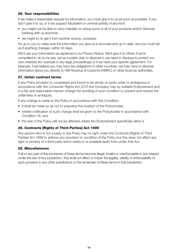#### **26. Your responsibilities**

If we make a reasonable request for information, you must give it to us as soon as possible. If you don't give it to us, or if we suspect fraudulent or criminal activity of any kind:

- you might not be able to carry maintain on doing some or all of your products and/or Services banking with us anymore;
- we might try to get it from another source, ourselves.

It's up to you to make sure the information you give us is accurate and up to date, and you must tell us if anything changes, within 30 days.

We'll use your information as explained in our Privacy Notice. We'll give it to others if we're compelled to do so by law, we've a public duty to disclose it, we need to disclose to protect our own interests (for example in any legal proceedings) or if we have your specific agreement. For example, if we believe you may have tax obligations in other countries, we may have to disclose information about you directly to HM Revenue & Customs (HMRC) or other local tax authorities.

#### **27. Unfair contract terms**

If any Policy provision is considered and found to be wholly or partly unfair or ambiguous in accordance with the Consumer Rights Act 2015 the Company may by suitable Endorsement and in a fair and reasonable manner change the wording of such condition to prevent and resolve the unfairness or ambiguity.

If any change is made to the Policy in accordance with this Condition:

- it shall be made so as not to prejudice the position of the Policyholder;
- written notification of such change shall be given to the Policyholder in accordance with Condition 16; and
- the rest of the Policy will not be affected unless the Endorsement specifically alters it.

#### **28. Contracts (Rights of Third Parties) Act 1999**

Any person who is not a party to the Policy has no right under the Contracts (Rights of Third Parties) Act 1999 to enforce any provision or condition of the Policy but this does not affect any right or remedy of a third party which exists or is available apart from under that Act.

#### **29. Miscellaneous**

If all or any part of the provisions of these terms become illegal, invalid or unenforceable in any respect under the law of any jurisdiction, that shall not affect or impair the legality, validity or enforceability of such provision in any other jurisdictions or the remainder of these terms in that jurisdiction.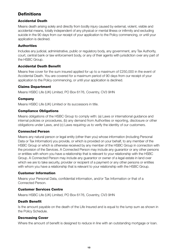# **Definitions**

#### **Accidental Death**

Means death arising solely and directly from bodily injury caused by external, violent, visible and accidental means, totally independent of any physical or mental illness or infirmity and excluding suicide in the 90 days from our receipt of your application to the Policy commencing, or until your application is declined.

#### **Authorities**

Includes any judicial, administrative, public or regulatory body, any government, any Tax Authority, court, central bank or law enforcement body, or any of their agents with jurisdiction over any part of the HSBC Group.

#### **Accidental Death Benefit**

Means free cover for the sum insured applied for up to a maximum of £250,000 in the event of Accidental Death. You are covered for a maximum period of 90 days from our receipt of your application to the Policy commencing, or until your application is declined.

#### **Claims Department**

Means HSBC Life (UK) Limited, PO Box 6176, Coventry, CV3 9HN

#### **Company**

Means HSBC Life (UK) Limited or its successors in title.

#### **Compliance Obligations**

Means obligations of the HSBC Group to comply with: (a) Laws or international guidance and internal policies or procedures, (b) any demand from Authorities or reporting, disclosure or other obligations under Laws, and (c) Laws requiring us to verify the identity of our customers.

#### **Connected Person**

Means any natural person or legal entity (other than you) whose information (including Personal Data or Tax Information) you provide, or which is provided on your behalf, to any member of the HSBC Group or which is otherwise received by any member of the HSBC Group in connection with the provision of the Services. A Connected Person may include any guarantor or any other persons or entities with whom you have a relationship that is relevant to your relationship with the HSBC Group. A Connected Person may include any guarantor or owner of a legal estate in land over which we are to take security, provider or recipient of a payment or any other persons or entities with whom you have a relationship that is relevant to your relationship with the HSBC Group.

#### **Customer Information**

Means your Personal Data, confidential information, and/or Tax Information or that of a Connected Person.

#### **Customer Services Centre**

Means HSBC Life (UK) Limited, PO Box 6176, Coventry, CV3 9HN

#### **Death Benefit**

Is the amount payable on the death of the Life Insured and is equal to the lump sum as shown in the Policy Schedule.

#### **Decreasing Cover**

Where the amount of benefit is designed to reduce in line with an outstanding mortgage or loan.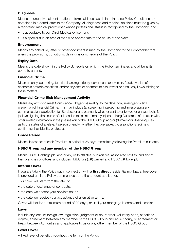#### **Diagnosis**

Means an unequivocal confirmation of terminal illness as defined in these Policy Conditions and contained in a dated letter to the Company. All diagnoses and medical opinions must be given by a registered medical practitioner whose professional status is recognised by the Company; and

- is acceptable to our Chief Medical Officer; and
- is a specialist in an area of medicine appropriate to the cause of the claim

#### **Endorsement**

Means any schedule, letter or other document issued by the Company to the Policyholder that alters the provisions, conditions, definitions or schedule of the Policy.

#### **Expiry Date**

Means the date shown in the Policy Schedule on which the Policy terminates and all benefits come to an end.

#### **Financial Crime**

Means money laundering, terrorist financing, bribery, corruption, tax evasion, fraud, evasion of economic or trade sanctions, and/or any acts or attempts to circumvent or break any Laws relating to these matters.

#### **Financial Crime Risk Management Activity**

Means any action to meet Compliance Obligations relating to the detection, investigation and prevention of Financial Crime. This may include (a) screening, intercepting and investigating any communication, application for Services or any payment, whether sent to or by you or on your behalf, (b) investigating the source of or intended recipient of money, (c) combining Customer Information with other related information in the possession of the HSBC Group and/or (d) making further enquiries as to the status of a relevant person or entity (whether they are subject to a sanctions regime or confirming their identity or status).

#### **Grace Period**

Means, in respect of each Premium, a period of 28 days immediately following the Premium due date.

#### **HSBC Group** and **any member of the HSBC Group**

Means HSBC Holdings plc, and/or any of its affiliates, subsidiaries, associated entities, and any of their branches or offices, and includes HSBC Life (UK) Limited and HSBC UK Bank plc.

#### **Interim Cover**

If you are taking the Policy out in connection with a **first direct** residential mortgage, free cover is provided until the Policy commences up to the amount applied for.

This cover will start from the later of:

- the date of exchange of contracts:
- the date we accept your application; or
- the date we receive your acceptance of alternative terms.

Cover will last for a maximum period of 90 days, or until your mortgage is completed if earlier.

#### **Laws**

Include any local or foreign law, regulation, judgment or court order, voluntary code, sanctions regime, agreement between any member of the HSBC Group and an Authority, or agreement or treaty between Authorities and applicable to us or any other member of the HSBC Group.

#### **Level Cover**

A fixed level of benefit throughout the term of the Policy.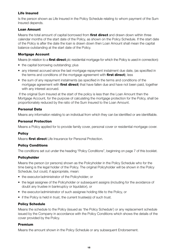#### **Life Insured**

Is the person shown as Life Insured in the Policy Schedule relating to whom payment of the Sum Insured depends.

#### **Loan Amount**

Means the total amount of capital borrowed from **first direct** and drawn down within three calendar months of the start date of the Policy, as shown on the Policy Schedule. If the start date of the Policy is after the date the loan is drawn down then Loan Amount shall mean the capital balance outstanding at the start date of the Policy.

#### **Mortgage Account**

Means (in relation to a **first direct** plc residential mortgage for which the Policy is used in connection):

- the capital borrowing outstanding; plus
- any interest accrued since the last mortgage repayment instalment due date, (as specified in the terms and conditions of the mortgage agreement with **first direct**); less
- the sum of any repayment instalments (as specified in the terms and conditions of the mortgage agreement with **first direct**) that have fallen due and have not been paid, together with any interest accrued.

 If the original Sum Insured at the start of the policy is less than the Loan Amount then the Mortgage Account, for the purpose of calculating the mortgage protection for the Policy, shall be proportionately reduced by the ratio of the Sum Insured to the Loan Amount.

#### **Personal Data**

Means any information relating to an individual from which they can be identified or are identifiable.

#### **Personal Protection**

Means a Policy applied for to provide family cover, personal cover or residential mortgage cover.

#### **Policy**

Means **first direct** Life Insurance for Personal Protection.

#### **Policy Conditions**

The conditions set out under the heading "Policy Conditions", beginning on page 7 of this booklet.

#### **Policyholder**

Means the person (or persons) shown as the Policyholder in the Policy Schedule who for the time being is the legal holder of the Policy. The original Policyholder will be shown in the Policy Schedule, but could, if appropriate, mean:

- the executor/administrator of the Policyholder; or
- the legal assignee of the Policyholder or subsequent assigns (including for the avoidance of doubt any trustee in bankruptcy or liquidator), or
- the executor/administrator of such assignee holding title to the Policy, or
- if the Policy is held in trust, the current trustee(s) of such trust.

#### **Policy Schedule**

Means the schedule to the Policy (issued as 'the Policy Schedule') or any replacement schedule issued by the Company in accordance with the Policy Conditions which shows the details of the cover provided by the Policy.

#### **Premium**

Means the amount shown in the Policy Schedule or any subsequent Endorsement.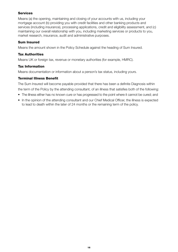#### **Services**

Means (a) the opening, maintaining and closing of your accounts with us, including your mortgage account (b) providing you with credit facilities and other banking products and services (including insurance), processing applications, credit and eligibility assessment, and (c) maintaining our overall relationship with you, including marketing services or products to you, market research, insurance, audit and administrative purposes.

#### **Sum Insured**

Means the amount shown in the Policy Schedule against the heading of Sum Insured.

#### **Tax Authorities**

Means UK or foreign tax, revenue or monetary authorities (for example, HMRC).

#### **Tax Information**

Means documentation or information about a person's tax status, including yours.

#### **Terminal Illness Benefit**

The Sum Insured will become payable provided that there has been a definite Diagnosis within the term of the Policy by the attending consultant, of an illness that satisfies both of the following:

- The illness either has no known cure or has progressed to the point where it cannot be cured; and
- In the opinion of the attending consultant and our Chief Medical Officer, the illness is expected to lead to death within the later of 24 months or the remaining term of the policy.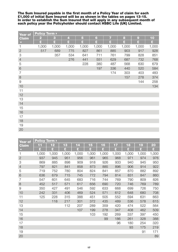**The Sum Insured payable in the first month of a Policy Year of claim for each £1,000 of initial Sum Insured will be as shown in the tables on pages 13-15. In order to establish the Sum Insured that will apply in any subsequent month of each policy year the Policyholder should contact HSBC Life (UK) Limited.**

| <b>Year of</b>           | <b>Policy Term &gt;</b> |       |       |       |       |       |       |                  |       |  |  |
|--------------------------|-------------------------|-------|-------|-------|-------|-------|-------|------------------|-------|--|--|
| <b>Claim</b>             | $\overline{2}$          | 3     | 4     | 5     | 6     | 7     | 8     | $\boldsymbol{9}$ | 10    |  |  |
| $\overline{\phantom{0}}$ | £                       | £     | £     | £     | £     | £     | £     | £                | £     |  |  |
| 1                        | 1,000                   | 1,000 | 1,000 | 1,000 | 1,000 | 1,000 | 1,000 | 1,000            | 1,000 |  |  |
| $\overline{2}$           | 517                     | 689   | 775   | 827   | 861   | 885   | 903   | 917              | 928   |  |  |
| 3                        |                         | 357   | 534   | 641   | 711   | 761   | 799   | 828              | 851   |  |  |
| $\overline{4}$           |                         |       | 276   | 441   | 551   | 629   | 687   | 732              | 768   |  |  |
| 5                        |                         |       |       | 228   | 380   | 487   | 568   | 630              | 679   |  |  |
| 6                        |                         |       |       |       | 197   | 336   | 440   | 520              | 584   |  |  |
| $\overline{7}$           |                         |       |       |       |       | 174   | 303   | 403              | 483   |  |  |
| $\,8\,$                  |                         |       |       |       |       |       | 157   | 278              | 374   |  |  |
| 9                        |                         |       |       |       |       |       |       | 144              | 258   |  |  |
| 10                       |                         |       |       |       |       |       |       |                  | 134   |  |  |
| 11                       |                         |       |       |       |       |       |       |                  |       |  |  |
| 12                       |                         |       |       |       |       |       |       |                  |       |  |  |
| 13                       |                         |       |       |       |       |       |       |                  |       |  |  |
| 14                       |                         |       |       |       |       |       |       |                  |       |  |  |
| 15                       |                         |       |       |       |       |       |       |                  |       |  |  |
| 16                       |                         |       |       |       |       |       |       |                  |       |  |  |
| 17                       |                         |       |       |       |       |       |       |                  |       |  |  |
| 18                       |                         |       |       |       |       |       |       |                  |       |  |  |
| 19                       |                         |       |       |       |       |       |       |                  |       |  |  |
| 20                       |                         |       |       |       |       |       |       |                  |       |  |  |

| <b>Year of</b> | <b>Policy Term ▶</b> |       |       |       |       |       |       |       |       |       |
|----------------|----------------------|-------|-------|-------|-------|-------|-------|-------|-------|-------|
| <b>Claim</b>   | 11                   | 12    | 13    | 14    | 15    | 16    | 17    | 18    | 19    | 20    |
| M              | £                    | £     | £     | £     | £     | £     | £     | £     | £     | £     |
| 1              | 1,000                | 1,000 | 1,000 | 1,000 | 1,000 | 1,000 | 1,000 | 1,000 | 1,000 | 1,000 |
| $\overline{2}$ | 937                  | 945   | 951   | 956   | 961   | 965   | 968   | 971   | 974   | 976   |
| 3              | 869                  | 885   | 898   | 909   | 918   | 926   | 933   | 940   | 945   | 950   |
| $\overline{4}$ | 797                  | 821   | 841   | 858   | 873   | 885   | 896   | 906   | 914   | 922   |
| 5              | 719                  | 752   | 780   | 804   | 824   | 841   | 857   | 870   | 882   | 892   |
| 6              | 636                  | 679   | 715   | 745   | 772   | 794   | 814   | 831   | 847   | 860   |
| $\overline{7}$ | 547                  | 601   | 645   | 683   | 716   | 744   | 769   | 790   | 809   | 826   |
| 8              | 452                  | 517   | 571   | 617   | 656   | 690   | 720   | 746   | 769   | 789   |
| 9              | 350                  | 427   | 491   | 546   | 592   | 633   | 668   | 699   | 726   | 750   |
| 10             | 242                  | 331   | 406   | 469   | 524   | 571   | 612   | 648   | 680   | 708   |
| 11             | 125                  | 228   | 315   | 388   | 451   | 505   | 552   | 594   | 631   | 663   |
| 12             |                      | 118   | 217   | 301   | 372   | 435   | 489   | 536   | 578   | 615   |
| 13             |                      |       | 112   | 207   | 289   | 359   | 420   | 474   | 522   | 564   |
| 14             |                      |       |       | 107   | 199   | 278   | 347   | 408   | 462   | 509   |
| 15             |                      |       |       |       | 103   | 192   | 269   | 337   | 397   | 450   |
| 16             |                      |       |       |       |       | 99    | 186   | 261   | 328   | 388   |
| 17             |                      |       |       |       |       |       | 96    | 180   | 254   | 320   |
| 18             |                      |       |       |       |       |       |       | 93    | 175   | 219   |
| 19             |                      |       |       |       |       |       |       |       | 91    | 171   |
| 20             |                      |       |       |       |       |       |       |       |       | 89    |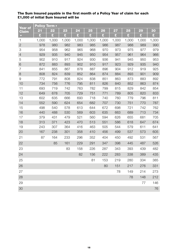|                         | <b>Policy Term &gt;</b> |       |       |       |       |       |       |       |       |       |
|-------------------------|-------------------------|-------|-------|-------|-------|-------|-------|-------|-------|-------|
| <b>Year of</b><br>Claim | 21                      | 22    | 23    | 24    | 25    | 26    | 27    | 28    | 29    | 30    |
|                         | £                       | £     | £     | £     | £     | £     | £     | £     | £     | £     |
| 1                       | 1,000                   | 1,000 | 1,000 | 1,000 | 1,000 | 1,000 | 1,000 | 1,000 | 1,000 | 1,000 |
| $\overline{2}$          | 978                     | 980   | 982   | 983   | 985   | 986   | 987   | 988   | 989   | 990   |
| 3                       | 954                     | 958   | 962   | 965   | 968   | 970   | 973   | 975   | 977   | 979   |
| $\overline{4}$          | 929                     | 935   | 940   | 945   | 950   | 954   | 957   | 961   | 964   | 966   |
| 5                       | 902                     | 910   | 917   | 924   | 930   | 936   | 941   | 945   | 950   | 953   |
| $\,$ 6 $\,$             | 872                     | 883   | 893   | 902   | 910   | 917   | 923   | 929   | 935   | 940   |
| $\overline{7}$          | 841                     | 855   | 867   | 878   | 887   | 896   | 904   | 912   | 919   | 925   |
| 8                       | 808                     | 824   | 839   | 852   | 864   | 874   | 884   | 893   | 901   | 909   |
| 9                       | 772                     | 791   | 808   | 824   | 838   | 851   | 863   | 873   | 883   | 892   |
| 10                      | 734                     | 756   | 776   | 795   | 811   | 826   | 840   | 852   | 863   | 874   |
| 11                      | 693                     | 719   | 742   | 763   | 782   | 799   | 815   | 829   | 842   | 854   |
| 12                      | 649                     | 678   | 705   | 729   | 751   | 771   | 789   | 805   | 820   | 833   |
| 13                      | 602                     | 635   | 666   | 693   | 718   | 740   | 760   | 779   | 796   | 811   |
| 14                      | 552                     | 590   | 624   | 654   | 682   | 707   | 730   | 751   | 770   | 787   |
| 15                      | 498                     | 540   | 578   | 613   | 644   | 672   | 698   | 721   | 742   | 762   |
| 16                      | 440                     | 488   | 530   | 569   | 603   | 635   | 663   | 689   | 713   | 734   |
| 17                      | 379                     | 431   | 479   | 521   | 560   | 594   | 626   | 655   | 681   | 705   |
| 18                      | 313                     | 371   | 423   | 470   | 513   | 551   | 586   | 618   | 647   | 674   |
| 19                      | 243                     | 307   | 364   | 416   | 463   | 505   | 544   | 579   | 611   | 641   |
| 20                      | 167                     | 238   | 301   | 358   | 410   | 456   | 499   | 537   | 573   | 605   |
| 21                      | 87                      | 164   | 233   | 296   | 352   | 404   | 450   | 492   | 531   | 567   |
| 22                      |                         | 85    | 161   | 229   | 291   | 347   | 398   | 445   | 487   | 526   |
| 23                      |                         |       | 83    | 158   | 226   | 287   | 343   | 393   | 439   | 482   |
| 24                      |                         |       |       | 82    | 156   | 222   | 283   | 338   | 389   | 435   |
| 25                      |                         |       |       |       | 81    | 153   | 219   | 280   | 334   | 385   |
| 26                      |                         |       |       |       |       | 80    | 151   | 217   | 276   | 331   |
| 27                      |                         |       |       |       |       |       | 78    | 149   | 214   | 273   |
| 28                      |                         |       |       |       |       |       |       | 78    | 148   | 212   |
| 29                      |                         |       |       |       |       |       |       |       | 77    | 146   |
| 30                      |                         |       |       |       |       |       |       |       |       | 76    |

#### **The Sum Insured payable in the first month of a Policy Year of claim for each £1,000 of initial Sum Insured will be**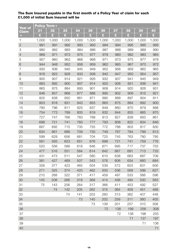#### **The Sum Insured payable in the first month of a Policy Year of claim for each £1,000 of initial Sum Insured will be**

| Year of        |       | <b>Policy Term ▶</b> |       |                 |       |       |       |       |       |       |  |
|----------------|-------|----------------------|-------|-----------------|-------|-------|-------|-------|-------|-------|--|
| Claim          | 31    | 32                   | 33    | $\overline{34}$ | 35    | 36    | 37    | 38    | 39    | 40    |  |
|                | £     | £                    | £     | £               | £     | £     | £     | £     | £     | £     |  |
| 1              | 1,000 | 1,000                | 1,000 | 1,000           | 1,000 | 1,000 | 1,000 | 1,000 | 1,000 | 1,000 |  |
| $\overline{2}$ | 991   | 991                  | 992   | 993             | 993   | 994   | 994   | 995   | 995   | 995   |  |
| 3              | 980   | 982                  | 983   | 984             | 986   | 987   | 988   | 989   | 989   | 990   |  |
| $\overline{a}$ | 969   | 971                  | 973   | 975             | 977   | 979   | 980   | 982   | 983   | 984   |  |
| 5              | 957   | 960                  | 963   | 966             | 968   | 971   | 973   | 975   | 977   | 978   |  |
| 6              | 944   | 948                  | 952   | 956             | 959   | 962   | 965   | 967   | 970   | 972   |  |
| 7              | 930   | 936                  | 940   | 945             | 949   | 952   | 956   | 959   | 962   | 965   |  |
| 8              | 916   | 922                  | 928   | 933             | 938   | 942   | 947   | 950   | 954   | 957   |  |
| 9              | 900   | 907                  | 914   | 921             | 926   | 932   | 937   | 941   | 945   | 949   |  |
| 10             | 883   | 892                  | 900   | 907             | 914   | 920   | 926   | 931   | 936   | 941   |  |
| 11             | 865   | 875                  | 884   | 893             | 901   | 908   | 914   | 920   | 926   | 931   |  |
| 12             | 846   | 857                  | 868   | 877             | 886   | 895   | 902   | 909   | 915   | 921   |  |
| 13             | 825   | 838                  | 850   | 861             | 871   | 880   | 889   | 897   | 904   | 911   |  |
| 14             | 803   | 818                  | 831   | 843             | 855   | 865   | 875   | 884   | 892   | 900   |  |
| 15             | 780   | 796                  | 811   | 825             | 837   | 849   | 860   | 870   | 879   | 888   |  |
| 16             | 754   | 773                  | 789   | 805             | 819   | 832   | 844   | 855   | 865   | 875   |  |
| 17             | 727   | 747                  | 766   | 783             | 799   | 813   | 827   | 839   | 850   | 861   |  |
| 18             | 698   | 721                  | 741   | 760             | 777   | 793   | 808   | 822   | 834   | 846   |  |
| 19             | 667   | 692                  | 715   | 735             | 755   | 772   | 788   | 803   | 817   | 830   |  |
| 20             | 634   | 661                  | 686   | 709             | 730   | 749   | 767   | 784   | 799   | 813   |  |
| 21             | 599   | 629                  | 656   | 681             | 704   | 725   | 745   | 763   | 780   | 795   |  |
| 22             | 561   | 593                  | 623   | 651             | 676   | 699   | 721   | 741   | 759   | 776   |  |
| 23             | 520   | 556                  | 588   | 618             | 646   | 671   | 695   | 717   | 737   | 755   |  |
| 24             | 477   | 516                  | 551   | 584             | 614   | 642   | 667   | 691   | 713   | 733   |  |
| 25             | 431   | 473                  | 511   | 547             | 580   | 610   | 638   | 663   | 687   | 709   |  |
| 26             | 381   | 427                  | 469   | 507             | 543   | 576   | 606   | 634   | 660   | 684   |  |
| 27             | 328   | 377                  | 423   | 465             | 504   | 539   | 572   | 603   | 631   | 656   |  |
| 28             | 271   | 325                  | 374   | 420             | 462   | 500   | 536   | 569   | 599   | 627   |  |
| 29             | 210   | 268                  | 322   | 371             | 417   | 459   | 497   | 533   | 566   | 596   |  |
| 30             | 145   | 208                  | 266   | 319             | 369   | 414   | 456   | 494   | 530   | 563   |  |
| 31             | 75    | 143                  | 206   | 264             | 317   | 366   | 411   | 453   | 492   | 527   |  |
| 32             |       | 74                   | 142   | 205             | 262   | 315   | 364   | 409   | 451   | 489   |  |
| 33             |       |                      | 74    | 141             | 203   | 260   | 313   | 362   | 407   | 448   |  |
| 34             |       |                      |       | 73              | 140   | 202   | 259   | 311   | 360   | 405   |  |
| 35             |       |                      |       |                 | 73    | 139   | 201   | 257   | 310   | 358   |  |
| 36             |       |                      |       |                 |       | 72    | 138   | 199   | 256   | 308   |  |
| 37             |       |                      |       |                 |       |       | 72    | 138   | 198   | 255   |  |
| 38             |       |                      |       |                 |       |       |       | 71    | 137   | 197   |  |
| 39             |       |                      |       |                 |       |       |       |       | 71    | 136   |  |
| 40             |       |                      |       |                 |       |       |       |       |       | 71    |  |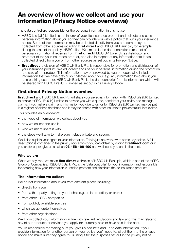# **An overview of how we collect and use your information (Privacy Notice overviews)**

The data controllers responsible for the personal information in this notice:

- HSBC Life (UK) Limited, is the insurer of your life insurance product and collects and uses personal information about you so they can provide you with a policy that suits your insurance needs. Some of this information may be collected directly from you and some may be collected from other sources including **first direct** and HSBC UK Bank plc, for, example, during the sale of the policy. HSBC Life (UK) Limited is the data controller in respect of the personal information it receives from **first direct**/HSBC UK Bank plc as distributor and promoter of the your insurance product, and also in respect of any information that it has collected directly from you or from other sources as set out in its Privacy Notice.
- **first direct**, a division of HSBC UK Bank Plc, is responsible for promotion and distribution of your insurance product. We will collect and use your personal information during the promotion and sale of the product. This information may be provided by you but could also include information that we have previously collected about you, e.g. any information held about you as a banking customer. HSBC UK Bank Plc is the data controller for this information which will be shared with HSBC Life (UK) Limited as set out in its Privacy Notice.

# **first direct Privacy Notice overview**

**first direct** and HSBC UK Bank Plc will share your personal information with HSBC Life (UK) Limited to enable HSBC Life (UK) Limited to provide you with a quote, administer your policy and manage claims. If you make a claim, any information you give to us, or to HSBC Life (UK) Limited may be put in a register of claims database and it may be shared with other insurers to prevent fraudulent claims.

This provides an overview of:

- the types of information we collect about you
- how we collect and use it
- who we might share it with
- the steps we'll take to make sure it stays private and secure.

We'll also explain your rights to your information. This is just an overview of some key points. A full description is contained in the privacy notice which you can obtain by visiting **firstdirect.com** or if you prefer paper, give us a call on **03 456 100 100** and we'll send you one in the post.

#### **Who we are**

When we say 'we', we mean **first direct**, a division of HSBC UK Bank plc, which is part of the HSBC Group of Companies. HSBC UK Bank Plc, is the 'data controller' for your information and responsible for deciding how your information is used to promote and distribute the life insurance products.

#### **The information we collect**

We collect information about you from different places including:

- directly from you
- from a third party acting on your behalf e.g. an intermediary or broker
- from other HSBC companies
- from publicly available sources
- when we generate it ourselves
- from other organisations.

We'll only collect your information in line with relevant regulations and law and this may relate to any of our products or services you apply for, currently hold or have held in the past.

You're responsible for making sure you give us accurate and up to date information. If you provide information for another person on your policy, you'll need to, direct them to the privacy notice and make sure they agree to us using it for the purposes set out in the privacy notice.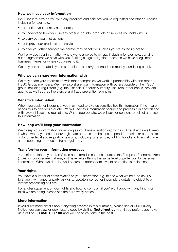#### **How we'll use your information**

We'll use it to provide you with any products and services you've requested and other purposes including for example:

- to confirm your identity and address
- to understand how you use any other accounts, products or services you hold with us
- to carry out your instructions
- to improve our products and services
- to offer you other services we believe may benefit you unless you've asked us not to.

We'll only use your information where we're allowed to by law, including for example, carrying out an agreement we have with you, fulfilling a legal obligation, because we have a legitimate business interest or where you agree to it.

We may use automated systems to help us as carry out fraud and money laundering checks.

#### **Who we can share your information with**

We may share your information with other companies we work in partnership with and other HSBC Group members. We may also share your information with others outside of the HSBC group including regulators (e.g. the Financial Conduct Authority), insurers, other banks, brokers, agents as well as credit reference and fraud prevention agencies.

#### **Sensitive information**

When you apply for insurance, you may need to give us sensitive health information if the insurer needs this to give you a quote. We will keep this information secure and process it in accordance with relevant laws and regulations. Where appropriate, we will ask for consent to collect and use this information.

#### **How long we'll keep your information**

We'll keep your information for as long as you have a relationship with us. After it ends we'll keep it where we may need it for our legitimate purposes, to help us respond to queries or complaints, or for other legal and regulatory reasons, including for example, fighting fraud and financial crime and responding to requests from regulators.

#### **Transferring your information overseas**

Your information may be transferred and stored in countries outside the European Economic Area (EEA), including some that may not have laws offering the same level of protection for personal information. When we do this, we'll ensure an appropriate level of protection is maintained.

#### **Your rights**

You have a number of rights relating to your information e.g. to see what we hold, to ask us to share it with another party, ask us to update incorrect or incomplete details, to object to or restrict processing of it etc.

For a fuller statement of your rights and how to complain if you're unhappy with anything you think we are doing, please see the full privacy notice.

#### **More information**

If you'd like more details about anything covered in this summary, please see our full Privacy Notice you can view or download a copy by visiting **firstdirect.com** or if you prefer paper, give us a call on **03 456 100 100** and we'll send you one in the post.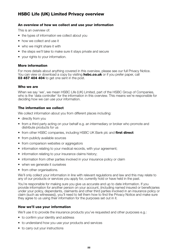# **HSBC Life (UK) Limited Privacy overview**

#### **An overview of how we collect and use your information**

This is an overview of:

- the types of information we collect about you
- how we collect and use it
- who we might share it with
- the steps we'll take to make sure it stays private and secure
- your rights to your information.

#### **More information**

For more details about anything covered in this overview, please see our full Privacy Notice. You can view or download a copy by visiting **hsbc.co.uk** or if you prefer paper, call **03 457 404 404** to get one sent in the post.

#### **Who we are**

When we say 'we', we mean HSBC Life (UK) Limited, part of the HSBC Group of Companies, who is the 'data controller' for the information in this overview. This means we're responsible for deciding how we can use your information.

#### **The information we collect**

We collect information about you from different places including:

- directly from you
- from a third party acting on your behalf e.g. an intermediary or broker who promote and distribute products for us
- from other HSBC companies, including HSBC UK Bank plc and **first direct**
- from publicly available sources
- from comparison websites or aggregators
- information relating to your medical records, with your agreement;
- information relating to your insurance claims history;
- information from other parties involved in your insurance policy or claim
- when we generate it ourselves
- from other organisations.

We'll only collect your information in line with relevant regulations and law and this may relate to any of our products or services you apply for, currently hold or have held in the past.

You're responsible for making sure you give us accurate and up to date information. If you provide information for another person on your account, (including named insured or beneficiaries under your policy, dependants, claimants and other third parties involved in an insurance policy or claim (such as witnesses)), you'll need to tell them how to find the Privacy Notice and make sure they agree to us using their information for the purposes set out in it.

#### **How we'll use your information**

We'll use it to provide the insurance products you've requested and other purposes e.g.:

- to confirm your identity and address
- to understand how you use your products and services
- to carry out your instructions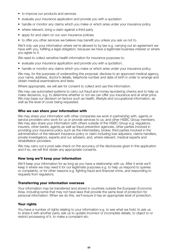- to improve our products and services
- evaluate your insurance application and provide you with a quotation
- handle or monitor any claims which you make or which arise under your insurance policy
- where relevant, bring a claim against a third party
- apply for and claim on our own insurance policies
- to offer you other services we believe may benefit you unless you ask us not to.

We'll only use your information where we're allowed to by law e.g. carrying out an agreement we have with you, fulfilling a legal obligation, because we have a legitimate business interest or where you agree to it.

We need to collect sensitive health information for insurance purposes to:

- evaluate your insurance application and provide you with a quotation;
- handle or monitor any claims which you make or which arise under your insurance policy.

We may, for the purposes of underwriting this proposal, disclose to an approved medical agency, your name, address, doctor's details, telephone number and date of birth in order to arrange and obtain medical examinations and tests.

Where appropriate, we will ask for consent to collect and use this information.

We may use automated systems to carry out fraud and money laundering checks and to help us make decisions, e.g. to determine whether or not we can offer you insurance and at what price. We may base our decision on factors such as health, lifestyle and occupational information, as well as the level of cover being requested.

#### **Who we can share your information with**

We may share your information with other companies we work in partnership with, agents or service providers who work for us or provide services to us, and other HSBC Group members. We may also share your information with others outside of the HSBC Group e.g. regulators, insurers, other banks, agents as well as fraud prevention agencies, other parties involved in providing your insurance policy such as the intermediary, broker, third parties involved in the administration of the relevant insurance policy or claim including loss adjusters, claims handlers, private investigators, experts and our advisers, and, where relevant, medical experts and rehabilitation providers.

We may carry out a post-sale check on the accuracy of the disclosures given in this application and if so, we will first obtain any appropriate consents.

#### **How long we'll keep your information**

We'll keep your information for as long as you have a relationship with us. After it ends we'll keep it where we may need it for our legitimate purposes e.g. to help us respond to queries or complaints, or for other reasons e.g. fighting fraud and financial crime, and responding to requests from regulators.

#### **Transferring your information overseas**

Your information may be transferred and stored in countries outside the European Economic Area, including some that may not have laws that provide the same level of protection for personal information. When we do this, we'll ensure it has an appropriate level of protection.

#### **Your rights**

You have a number of rights relating to your information e.g. to see what we hold, to ask us to share it with another party, ask us to update incorrect or incomplete details, to object to or restrict processing of it, to make a complaint etc.